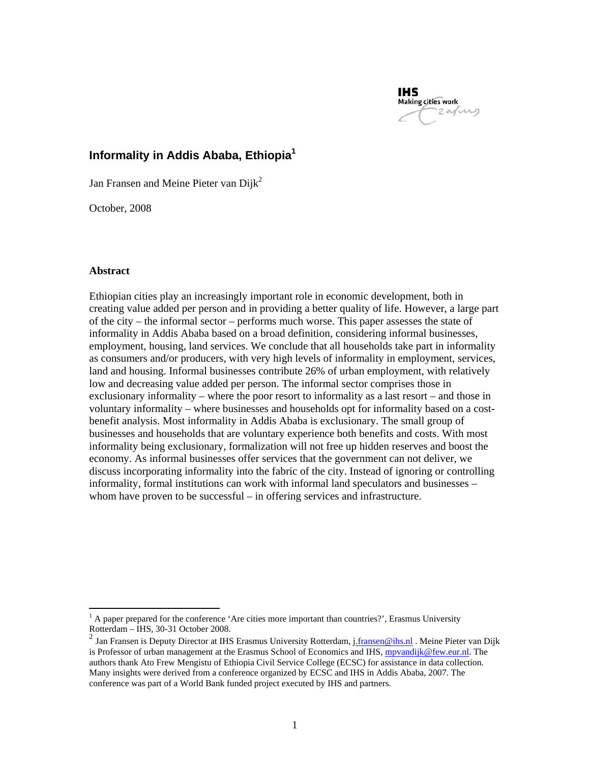

# **Informality in Addis Ababa, Ethiopia1**

Jan Fransen and Meine Pieter van  $Diik<sup>2</sup>$ 

October, 2008

### **Abstract**

 $\overline{a}$ 

Ethiopian cities play an increasingly important role in economic development, both in creating value added per person and in providing a better quality of life. However, a large part of the city – the informal sector – performs much worse. This paper assesses the state of informality in Addis Ababa based on a broad definition, considering informal businesses, employment, housing, land services. We conclude that all households take part in informality as consumers and/or producers, with very high levels of informality in employment, services, land and housing. Informal businesses contribute 26% of urban employment, with relatively low and decreasing value added per person. The informal sector comprises those in exclusionary informality – where the poor resort to informality as a last resort – and those in voluntary informality – where businesses and households opt for informality based on a costbenefit analysis. Most informality in Addis Ababa is exclusionary. The small group of businesses and households that are voluntary experience both benefits and costs. With most informality being exclusionary, formalization will not free up hidden reserves and boost the economy. As informal businesses offer services that the government can not deliver, we discuss incorporating informality into the fabric of the city. Instead of ignoring or controlling informality, formal institutions can work with informal land speculators and businesses – whom have proven to be successful – in offering services and infrastructure.

 $<sup>1</sup>$  A paper prepared for the conference 'Are cities more important than countries?', Erasmus University</sup> Rotterdam – IHS, 30-31 October 2008.

<sup>&</sup>lt;sup>2</sup> Jan Fransen is Deputy Director at IHS Erasmus University Rotterdam, j<u>.fransen@ihs.nl</u> . Meine Pieter van Dijk is Professor of urban management at the Erasmus School of Economics and IHS, *mpvandijk@few.eur.nl*. The authors thank Ato Frew Mengistu of Ethiopia Civil Service College (ECSC) for assistance in data collection. Many insights were derived from a conference organized by ECSC and IHS in Addis Ababa, 2007. The conference was part of a World Bank funded project executed by IHS and partners.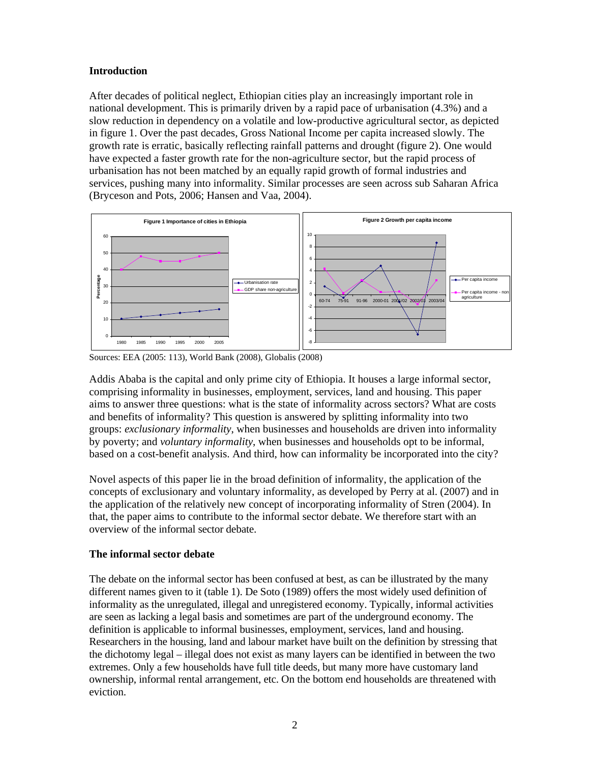## **Introduction**

After decades of political neglect, Ethiopian cities play an increasingly important role in national development. This is primarily driven by a rapid pace of urbanisation (4.3%) and a slow reduction in dependency on a volatile and low-productive agricultural sector, as depicted in figure 1. Over the past decades, Gross National Income per capita increased slowly. The growth rate is erratic, basically reflecting rainfall patterns and drought (figure 2). One would have expected a faster growth rate for the non-agriculture sector, but the rapid process of urbanisation has not been matched by an equally rapid growth of formal industries and services, pushing many into informality. Similar processes are seen across sub Saharan Africa (Bryceson and Pots, 2006; Hansen and Vaa, 2004).



Sources: EEA (2005: 113), World Bank (2008), Globalis (2008)

Addis Ababa is the capital and only prime city of Ethiopia. It houses a large informal sector, comprising informality in businesses, employment, services, land and housing. This paper aims to answer three questions: what is the state of informality across sectors? What are costs and benefits of informality? This question is answered by splitting informality into two groups: *exclusionary informality*, when businesses and households are driven into informality by poverty; and *voluntary informality*, when businesses and households opt to be informal, based on a cost-benefit analysis. And third, how can informality be incorporated into the city?

Novel aspects of this paper lie in the broad definition of informality, the application of the concepts of exclusionary and voluntary informality, as developed by Perry at al. (2007) and in the application of the relatively new concept of incorporating informality of Stren (2004). In that, the paper aims to contribute to the informal sector debate. We therefore start with an overview of the informal sector debate.

## **The informal sector debate**

The debate on the informal sector has been confused at best, as can be illustrated by the many different names given to it (table 1). De Soto (1989) offers the most widely used definition of informality as the unregulated, illegal and unregistered economy. Typically, informal activities are seen as lacking a legal basis and sometimes are part of the underground economy. The definition is applicable to informal businesses, employment, services, land and housing. Researchers in the housing, land and labour market have built on the definition by stressing that the dichotomy legal – illegal does not exist as many layers can be identified in between the two extremes. Only a few households have full title deeds, but many more have customary land ownership, informal rental arrangement, etc. On the bottom end households are threatened with eviction.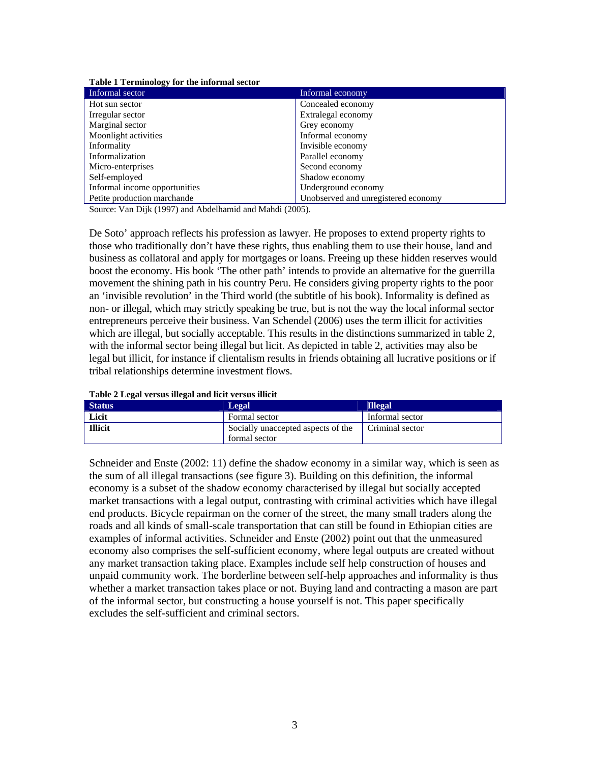| <b>Table 1 Terminology for the informal sector</b> |                                     |
|----------------------------------------------------|-------------------------------------|
| Informal sector                                    | Informal economy                    |
| Hot sun sector                                     | Concealed economy                   |
| Irregular sector                                   | Extralegal economy                  |
| Marginal sector                                    | Grey economy                        |
| Moonlight activities                               | Informal economy                    |
| Informality                                        | Invisible economy                   |
| Informalization                                    | Parallel economy                    |
| Micro-enterprises                                  | Second economy                      |
| Self-employed                                      | Shadow economy                      |
| Informal income opportunities                      | Underground economy                 |
| Petite production marchande                        | Unobserved and unregistered economy |

**Table 1 Terminology for the informal sector** 

Source: Van Dijk (1997) and Abdelhamid and Mahdi (2005).

De Soto' approach reflects his profession as lawyer. He proposes to extend property rights to those who traditionally don't have these rights, thus enabling them to use their house, land and business as collatoral and apply for mortgages or loans. Freeing up these hidden reserves would boost the economy. His book 'The other path' intends to provide an alternative for the guerrilla movement the shining path in his country Peru. He considers giving property rights to the poor an 'invisible revolution' in the Third world (the subtitle of his book). Informality is defined as non- or illegal, which may strictly speaking be true, but is not the way the local informal sector entrepreneurs perceive their business. Van Schendel (2006) uses the term illicit for activities which are illegal, but socially acceptable. This results in the distinctions summarized in table 2, with the informal sector being illegal but licit. As depicted in table 2, activities may also be legal but illicit, for instance if clientalism results in friends obtaining all lucrative positions or if tribal relationships determine investment flows.

|  | Table 2 Legal versus illegal and licit versus illicit |  |  |
|--|-------------------------------------------------------|--|--|
|--|-------------------------------------------------------|--|--|

| <b>Status</b>  | Legal                                               | <b>Illegal</b>  |
|----------------|-----------------------------------------------------|-----------------|
| Licit          | Formal sector                                       | Informal sector |
| <b>Illicit</b> | Socially unaccepted aspects of the<br>formal sector | Criminal sector |

Schneider and Enste (2002: 11) define the shadow economy in a similar way, which is seen as the sum of all illegal transactions (see figure 3). Building on this definition, the informal economy is a subset of the shadow economy characterised by illegal but socially accepted market transactions with a legal output, contrasting with criminal activities which have illegal end products. Bicycle repairman on the corner of the street, the many small traders along the roads and all kinds of small-scale transportation that can still be found in Ethiopian cities are examples of informal activities. Schneider and Enste (2002) point out that the unmeasured economy also comprises the self-sufficient economy, where legal outputs are created without any market transaction taking place. Examples include self help construction of houses and unpaid community work. The borderline between self-help approaches and informality is thus whether a market transaction takes place or not. Buying land and contracting a mason are part of the informal sector, but constructing a house yourself is not. This paper specifically excludes the self-sufficient and criminal sectors.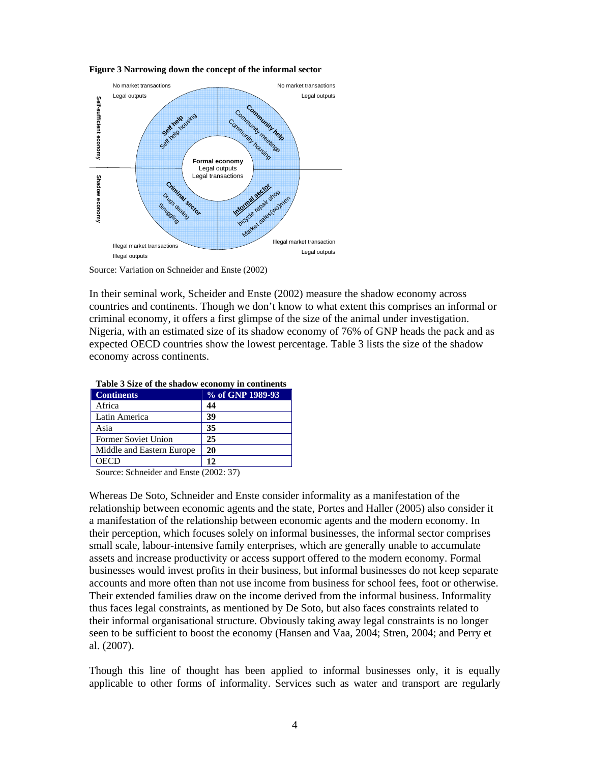

**Figure 3 Narrowing down the concept of the informal sector** 

Source: Variation on Schneider and Enste (2002)

In their seminal work, Scheider and Enste (2002) measure the shadow economy across countries and continents. Though we don't know to what extent this comprises an informal or criminal economy, it offers a first glimpse of the size of the animal under investigation. Nigeria, with an estimated size of its shadow economy of 76% of GNP heads the pack and as expected OECD countries show the lowest percentage. Table 3 lists the size of the shadow economy across continents.

| <b>Table 3 Size of the shauow economy in continents</b> |                  |  |  |  |
|---------------------------------------------------------|------------------|--|--|--|
| <b>Continents</b>                                       | % of GNP 1989-93 |  |  |  |
| Africa                                                  | 44               |  |  |  |
| Latin America                                           | 39               |  |  |  |
| Asia                                                    | 35               |  |  |  |
| <b>Former Soviet Union</b>                              | 25               |  |  |  |
| Middle and Eastern Europe                               | 20               |  |  |  |
| <b>OECD</b>                                             | 12               |  |  |  |

| Table 3 Size of the shadow economy in continents |                  |  |  |  |  |
|--------------------------------------------------|------------------|--|--|--|--|
| <b>Continents</b>                                | % of GNP 1989-93 |  |  |  |  |
| Africa                                           | 44               |  |  |  |  |
| Latin America                                    | 39               |  |  |  |  |

Source: Schneider and Enste (2002: 37)

Whereas De Soto, Schneider and Enste consider informality as a manifestation of the relationship between economic agents and the state, Portes and Haller (2005) also consider it a manifestation of the relationship between economic agents and the modern economy. In their perception, which focuses solely on informal businesses, the informal sector comprises small scale, labour-intensive family enterprises, which are generally unable to accumulate assets and increase productivity or access support offered to the modern economy. Formal businesses would invest profits in their business, but informal businesses do not keep separate accounts and more often than not use income from business for school fees, foot or otherwise. Their extended families draw on the income derived from the informal business. Informality thus faces legal constraints, as mentioned by De Soto, but also faces constraints related to their informal organisational structure. Obviously taking away legal constraints is no longer seen to be sufficient to boost the economy (Hansen and Vaa, 2004; Stren, 2004; and Perry et al. (2007).

Though this line of thought has been applied to informal businesses only, it is equally applicable to other forms of informality. Services such as water and transport are regularly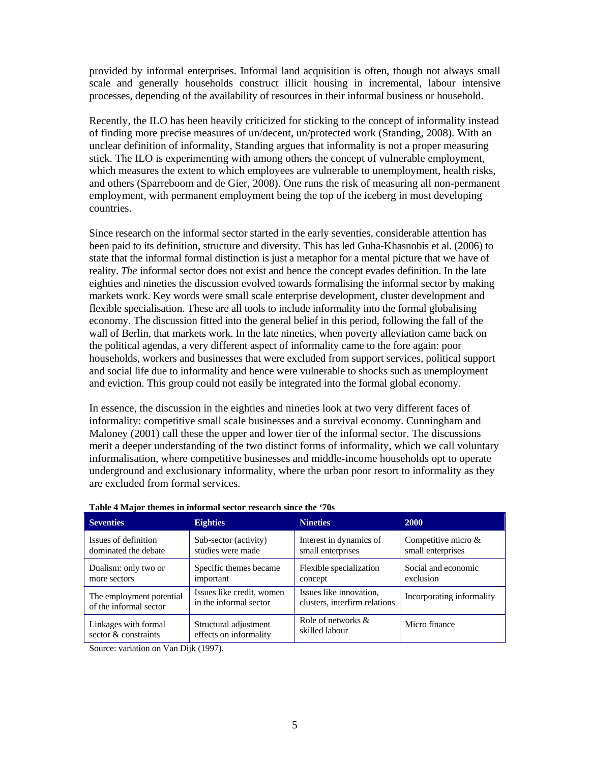provided by informal enterprises. Informal land acquisition is often, though not always small scale and generally households construct illicit housing in incremental, labour intensive processes, depending of the availability of resources in their informal business or household.

Recently, the ILO has been heavily criticized for sticking to the concept of informality instead of finding more precise measures of un/decent, un/protected work (Standing, 2008). With an unclear definition of informality, Standing argues that informality is not a proper measuring stick. The ILO is experimenting with among others the concept of vulnerable employment, which measures the extent to which employees are vulnerable to unemployment, health risks, and others (Sparreboom and de Gier, 2008). One runs the risk of measuring all non-permanent employment, with permanent employment being the top of the iceberg in most developing countries.

Since research on the informal sector started in the early seventies, considerable attention has been paid to its definition, structure and diversity. This has led Guha-Khasnobis et al. (2006) to state that the informal formal distinction is just a metaphor for a mental picture that we have of reality. *The* informal sector does not exist and hence the concept evades definition. In the late eighties and nineties the discussion evolved towards formalising the informal sector by making markets work. Key words were small scale enterprise development, cluster development and flexible specialisation. These are all tools to include informality into the formal globalising economy. The discussion fitted into the general belief in this period, following the fall of the wall of Berlin, that markets work. In the late nineties, when poverty alleviation came back on the political agendas, a very different aspect of informality came to the fore again: poor households, workers and businesses that were excluded from support services, political support and social life due to informality and hence were vulnerable to shocks such as unemployment and eviction. This group could not easily be integrated into the formal global economy.

In essence, the discussion in the eighties and nineties look at two very different faces of informality: competitive small scale businesses and a survival economy. Cunningham and Maloney (2001) call these the upper and lower tier of the informal sector. The discussions merit a deeper understanding of the two distinct forms of informality, which we call voluntary informalisation, where competitive businesses and middle-income households opt to operate underground and exclusionary informality, where the urban poor resort to informality as they are excluded from formal services.

| <b>Seventies</b>                                   | <b>Eighties</b><br><b>Nineties</b>                                                      |                                                                                             | 2000                             |
|----------------------------------------------------|-----------------------------------------------------------------------------------------|---------------------------------------------------------------------------------------------|----------------------------------|
| Issues of definition<br>dominated the debate       | Sub-sector (activity)<br>studies were made                                              | Competitive micro $\&$<br>Interest in dynamics of<br>small enterprises<br>small enterprises |                                  |
| Dualism: only two or<br>more sectors               | Specific themes became<br>important                                                     | Flexible specialization<br>concept                                                          | Social and economic<br>exclusion |
| The employment potential<br>of the informal sector | Issues like credit, women<br>in the informal sector                                     | Issues like innovation.<br>clusters, interfirm relations                                    | Incorporating informality        |
| Linkages with formal<br>sector & constraints       | Role of networks &<br>Structural adjustment<br>skilled labour<br>effects on informality |                                                                                             | Micro finance                    |

#### **Table 4 Major themes in informal sector research since the '70s**

Source: variation on Van Dijk (1997).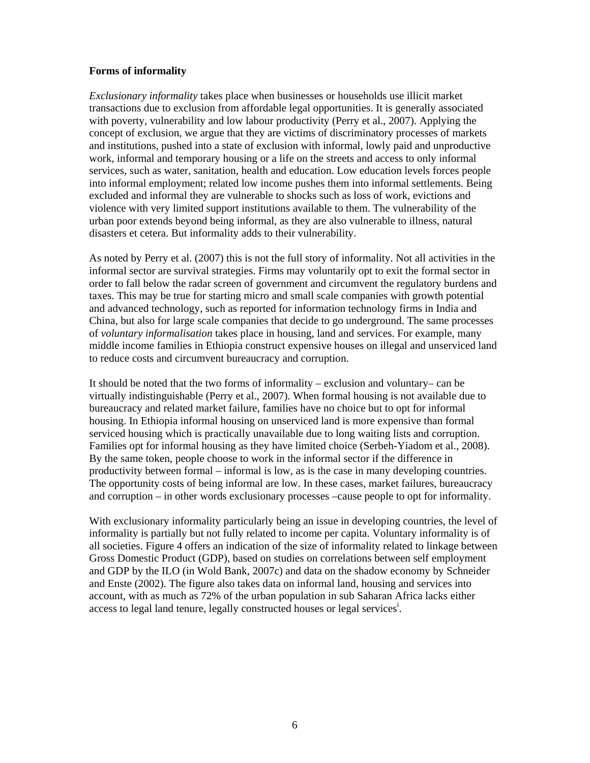### **Forms of informality**

*Exclusionary informality* takes place when businesses or households use illicit market transactions due to exclusion from affordable legal opportunities. It is generally associated with poverty, vulnerability and low labour productivity (Perry et al., 2007). Applying the concept of exclusion, we argue that they are victims of discriminatory processes of markets and institutions, pushed into a state of exclusion with informal, lowly paid and unproductive work, informal and temporary housing or a life on the streets and access to only informal services, such as water, sanitation, health and education. Low education levels forces people into informal employment; related low income pushes them into informal settlements. Being excluded and informal they are vulnerable to shocks such as loss of work, evictions and violence with very limited support institutions available to them. The vulnerability of the urban poor extends beyond being informal, as they are also vulnerable to illness, natural disasters et cetera. But informality adds to their vulnerability.

As noted by Perry et al. (2007) this is not the full story of informality. Not all activities in the informal sector are survival strategies. Firms may voluntarily opt to exit the formal sector in order to fall below the radar screen of government and circumvent the regulatory burdens and taxes. This may be true for starting micro and small scale companies with growth potential and advanced technology, such as reported for information technology firms in India and China, but also for large scale companies that decide to go underground. The same processes of *voluntary informalisation* takes place in housing, land and services. For example, many middle income families in Ethiopia construct expensive houses on illegal and unserviced land to reduce costs and circumvent bureaucracy and corruption.

It should be noted that the two forms of informality – exclusion and voluntary– can be virtually indistinguishable (Perry et al., 2007). When formal housing is not available due to bureaucracy and related market failure, families have no choice but to opt for informal housing. In Ethiopia informal housing on unserviced land is more expensive than formal serviced housing which is practically unavailable due to long waiting lists and corruption. Families opt for informal housing as they have limited choice (Serbeh-Yiadom et al., 2008). By the same token, people choose to work in the informal sector if the difference in productivity between formal – informal is low, as is the case in many developing countries. The opportunity costs of being informal are low. In these cases, market failures, bureaucracy and corruption – in other words exclusionary processes –cause people to opt for informality.

With exclusionary informality particularly being an issue in developing countries, the level of informality is partially but not fully related to income per capita. Voluntary informality is of all societies. Figure 4 offers an indication of the size of informality related to linkage between Gross Domestic Product (GDP), based on studies on correlations between self employment and GDP by the ILO (in Wold Bank, 2007c) and data on the shadow economy by Schneider and Enste (2002). The figure also takes data on informal land, housing and services into account, with as much as 72% of the urban population in sub Saharan Africa lacks either access to legal land tenure, legally constructed houses or legal services<sup>i</sup>.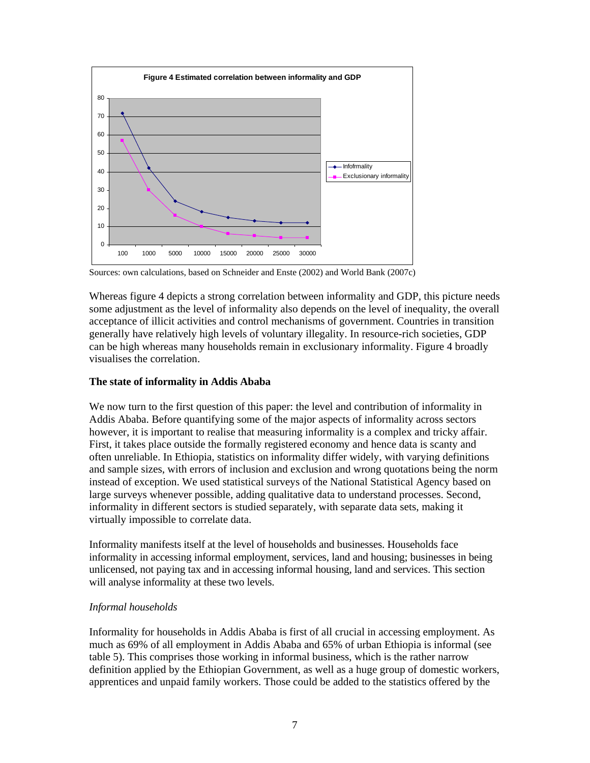

Sources: own calculations, based on Schneider and Enste (2002) and World Bank (2007c)

Whereas figure 4 depicts a strong correlation between informality and GDP, this picture needs some adjustment as the level of informality also depends on the level of inequality, the overall acceptance of illicit activities and control mechanisms of government. Countries in transition generally have relatively high levels of voluntary illegality. In resource-rich societies, GDP can be high whereas many households remain in exclusionary informality. Figure 4 broadly visualises the correlation.

### **The state of informality in Addis Ababa**

We now turn to the first question of this paper: the level and contribution of informality in Addis Ababa. Before quantifying some of the major aspects of informality across sectors however, it is important to realise that measuring informality is a complex and tricky affair. First, it takes place outside the formally registered economy and hence data is scanty and often unreliable. In Ethiopia, statistics on informality differ widely, with varying definitions and sample sizes, with errors of inclusion and exclusion and wrong quotations being the norm instead of exception. We used statistical surveys of the National Statistical Agency based on large surveys whenever possible, adding qualitative data to understand processes. Second, informality in different sectors is studied separately, with separate data sets, making it virtually impossible to correlate data.

Informality manifests itself at the level of households and businesses. Households face informality in accessing informal employment, services, land and housing; businesses in being unlicensed, not paying tax and in accessing informal housing, land and services. This section will analyse informality at these two levels.

### *Informal households*

Informality for households in Addis Ababa is first of all crucial in accessing employment. As much as 69% of all employment in Addis Ababa and 65% of urban Ethiopia is informal (see table 5). This comprises those working in informal business, which is the rather narrow definition applied by the Ethiopian Government, as well as a huge group of domestic workers, apprentices and unpaid family workers. Those could be added to the statistics offered by the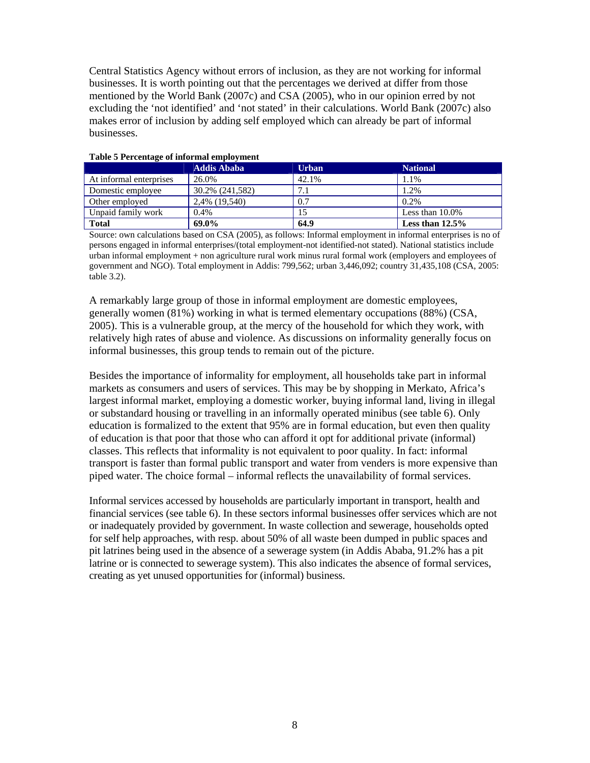Central Statistics Agency without errors of inclusion, as they are not working for informal businesses. It is worth pointing out that the percentages we derived at differ from those mentioned by the World Bank (2007c) and CSA (2005), who in our opinion erred by not excluding the 'not identified' and 'not stated' in their calculations. World Bank (2007c) also makes error of inclusion by adding self employed which can already be part of informal businesses.

|                         | Addis Ababa     | <b>Urban</b> | <b>National</b>    |
|-------------------------|-----------------|--------------|--------------------|
| At informal enterprises | 26.0%           | 42.1%        | 1.1%               |
| Domestic employee       | 30.2% (241,582) | 7.1          | 1.2%               |
| Other employed          | 2,4% (19,540)   | 0.7          | 0.2%               |
| Unpaid family work      | $0.4\%$         | 15           | Less than $10.0\%$ |
| <b>Total</b>            | 69.0%           | 64.9         | Less than $12.5\%$ |

#### **Table 5 Percentage of informal employment**

Source: own calculations based on CSA (2005), as follows: Informal employment in informal enterprises is no of persons engaged in informal enterprises/(total employment-not identified-not stated). National statistics include urban informal employment + non agriculture rural work minus rural formal work (employers and employees of government and NGO). Total employment in Addis: 799,562; urban 3,446,092; country 31,435,108 (CSA, 2005: table 3.2).

A remarkably large group of those in informal employment are domestic employees, generally women (81%) working in what is termed elementary occupations (88%) (CSA, 2005). This is a vulnerable group, at the mercy of the household for which they work, with relatively high rates of abuse and violence. As discussions on informality generally focus on informal businesses, this group tends to remain out of the picture.

Besides the importance of informality for employment, all households take part in informal markets as consumers and users of services. This may be by shopping in Merkato, Africa's largest informal market, employing a domestic worker, buying informal land, living in illegal or substandard housing or travelling in an informally operated minibus (see table 6). Only education is formalized to the extent that 95% are in formal education, but even then quality of education is that poor that those who can afford it opt for additional private (informal) classes. This reflects that informality is not equivalent to poor quality. In fact: informal transport is faster than formal public transport and water from venders is more expensive than piped water. The choice formal – informal reflects the unavailability of formal services.

Informal services accessed by households are particularly important in transport, health and financial services (see table 6). In these sectors informal businesses offer services which are not or inadequately provided by government. In waste collection and sewerage, households opted for self help approaches, with resp. about 50% of all waste been dumped in public spaces and pit latrines being used in the absence of a sewerage system (in Addis Ababa, 91.2% has a pit latrine or is connected to sewerage system). This also indicates the absence of formal services, creating as yet unused opportunities for (informal) business.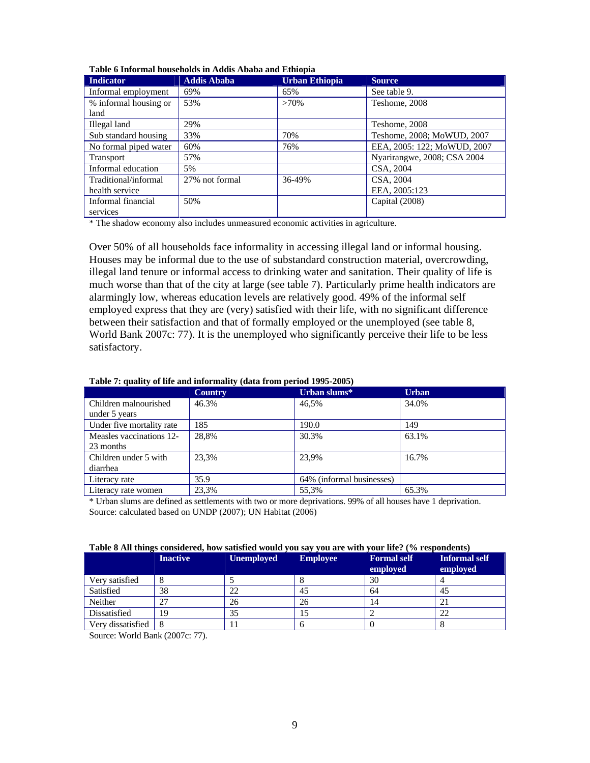| <b>Indicator</b>      | <b>Addis Ababa</b> | <b>Urban Ethiopia</b> | <b>Source</b>               |
|-----------------------|--------------------|-----------------------|-----------------------------|
| Informal employment   | 69%                | 65%                   | See table 9.                |
| % informal housing or | 53%                | $>70\%$               | Teshome, 2008               |
| land                  |                    |                       |                             |
| Illegal land          | 29%                |                       | Teshome, 2008               |
| Sub standard housing  | 33%                | 70%                   | Teshome, 2008; MoWUD, 2007  |
| No formal piped water | 60%                | 76%                   | EEA, 2005: 122; MoWUD, 2007 |
| <b>Transport</b>      | 57%                |                       | Nyarirangwe, 2008; CSA 2004 |
| Informal education    | 5%                 |                       | CSA, 2004                   |
| Traditional/informal  | 27% not formal     | 36-49%                | CSA, 2004                   |
| health service        |                    |                       | EEA, 2005:123               |
| Informal financial    | 50%                |                       | Capital (2008)              |
| services              |                    |                       |                             |

|  |  | Table 6 Informal households in Addis Ababa and Ethiopia |  |
|--|--|---------------------------------------------------------|--|
|  |  |                                                         |  |

\* The shadow economy also includes unmeasured economic activities in agriculture.

Over 50% of all households face informality in accessing illegal land or informal housing. Houses may be informal due to the use of substandard construction material, overcrowding, illegal land tenure or informal access to drinking water and sanitation. Their quality of life is much worse than that of the city at large (see table 7). Particularly prime health indicators are alarmingly low, whereas education levels are relatively good. 49% of the informal self employed express that they are (very) satisfied with their life, with no significant difference between their satisfaction and that of formally employed or the unemployed (see table 8, World Bank 2007c: 77). It is the unemployed who significantly perceive their life to be less satisfactory.

|  |  | Table 7: quality of life and informality (data from period 1995-2005) |  |
|--|--|-----------------------------------------------------------------------|--|
|  |  |                                                                       |  |

|                           | <b>Country</b> | Urban slums*              | <b>Urban</b> |
|---------------------------|----------------|---------------------------|--------------|
| Children malnourished     | 46.3%          | 46.5%                     | 34.0%        |
| under 5 years             |                |                           |              |
| Under five mortality rate | 185            | 190.0                     | 149          |
| Measles vaccinations 12-  | 28.8%          | 30.3%                     | 63.1%        |
| 23 months                 |                |                           |              |
| Children under 5 with     | 23.3%          | 23.9%                     | 16.7%        |
| diarrhea                  |                |                           |              |
| Literacy rate             | 35.9           | 64% (informal businesses) |              |
| Literacy rate women       | 23,3%          | 55,3%                     | 65.3%        |

\* Urban slums are defined as settlements with two or more deprivations. 99% of all houses have 1 deprivation. Source: calculated based on UNDP (2007); UN Habitat (2006)

| Table 8 All things considered, how satisfied would you say you are with your life? (% respondents) |  |  |  |
|----------------------------------------------------------------------------------------------------|--|--|--|
|                                                                                                    |  |  |  |

|                   | <b>Inactive</b> | <b>Unemployed</b> | <b>Employee</b> | <b>Formal self</b><br>employed | <b>Informal self</b><br>employed |
|-------------------|-----------------|-------------------|-----------------|--------------------------------|----------------------------------|
| Very satisfied    |                 |                   |                 | 30                             |                                  |
| Satisfied         | 38              | 22                | 45              | 64                             | 45                               |
| Neither           | າາ              | 26                | 26              | 14                             | ∠ I                              |
| Dissatisfied      | 19              | 35                | IJ              |                                | 22                               |
| Verv dissatisfied | -8              |                   |                 |                                |                                  |

Source: World Bank (2007c: 77).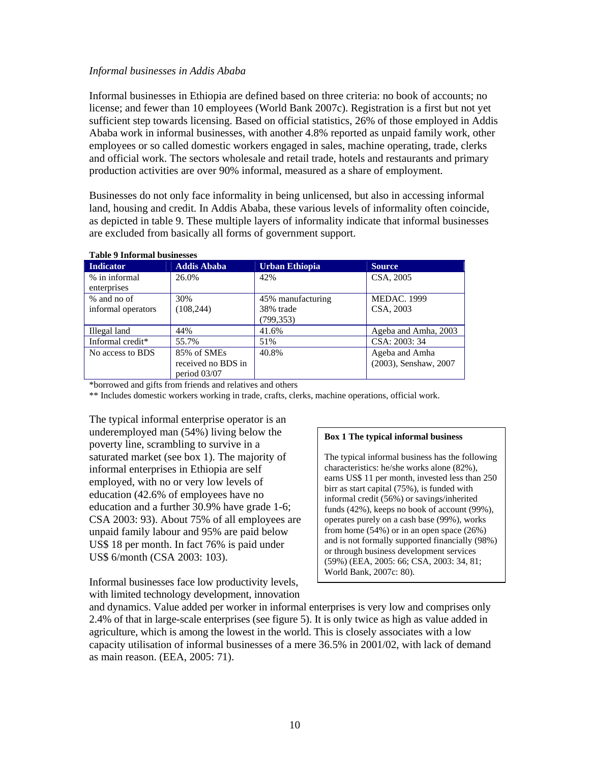### *Informal businesses in Addis Ababa*

Informal businesses in Ethiopia are defined based on three criteria: no book of accounts; no license; and fewer than 10 employees (World Bank 2007c). Registration is a first but not yet sufficient step towards licensing. Based on official statistics, 26% of those employed in Addis Ababa work in informal businesses, with another 4.8% reported as unpaid family work, other employees or so called domestic workers engaged in sales, machine operating, trade, clerks and official work. The sectors wholesale and retail trade, hotels and restaurants and primary production activities are over 90% informal, measured as a share of employment.

Businesses do not only face informality in being unlicensed, but also in accessing informal land, housing and credit. In Addis Ababa, these various levels of informality often coincide, as depicted in table 9. These multiple layers of informality indicate that informal businesses are excluded from basically all forms of government support.

| Indicator          | <b>Addis Ababa</b> | Urban Ethiopia    | <b>Source</b>         |  |  |
|--------------------|--------------------|-------------------|-----------------------|--|--|
| % in informal      | 26.0%              | 42%               | CSA, 2005             |  |  |
| enterprises        |                    |                   |                       |  |  |
| % and no of        | 30%                | 45% manufacturing | <b>MEDAC. 1999</b>    |  |  |
| informal operators | (108, 244)         | 38% trade         | CSA, 2003             |  |  |
|                    |                    | (799,353)         |                       |  |  |
| Illegal land       | 44%                | 41.6%             | Ageba and Amha, 2003  |  |  |
| Informal credit*   | 55.7%              | 51%               | CSA: 2003: 34         |  |  |
| No access to BDS   | 85% of SMEs        | 40.8%             | Ageba and Amha        |  |  |
|                    | received no BDS in |                   | (2003), Senshaw, 2007 |  |  |
|                    | period $03/07$     |                   |                       |  |  |

#### **Table 9 Informal businesses**

\*borrowed and gifts from friends and relatives and others

\*\* Includes domestic workers working in trade, crafts, clerks, machine operations, official work.

The typical informal enterprise operator is an underemployed man (54%) living below the poverty line, scrambling to survive in a saturated market (see box 1). The majority of informal enterprises in Ethiopia are self employed, with no or very low levels of education (42.6% of employees have no education and a further 30.9% have grade 1-6; CSA 2003: 93). About 75% of all employees are unpaid family labour and 95% are paid below US\$ 18 per month. In fact 76% is paid under US\$ 6/month (CSA 2003: 103).

Informal businesses face low productivity levels, with limited technology development, innovation

#### **Box 1 The typical informal business**

The typical informal business has the following characteristics: he/she works alone (82%), earns US\$ 11 per month, invested less than 250 birr as start capital (75%), is funded with informal credit (56%) or savings/inherited funds (42%), keeps no book of account (99%), operates purely on a cash base (99%), works from home (54%) or in an open space (26%) and is not formally supported financially (98%) or through business development services (59%) (EEA, 2005: 66; CSA, 2003: 34, 81; World Bank, 2007c: 80).

and dynamics. Value added per worker in informal enterprises is very low and comprises only 2.4% of that in large-scale enterprises (see figure 5). It is only twice as high as value added in agriculture, which is among the lowest in the world. This is closely associates with a low capacity utilisation of informal businesses of a mere 36.5% in 2001/02, with lack of demand as main reason. (EEA, 2005: 71).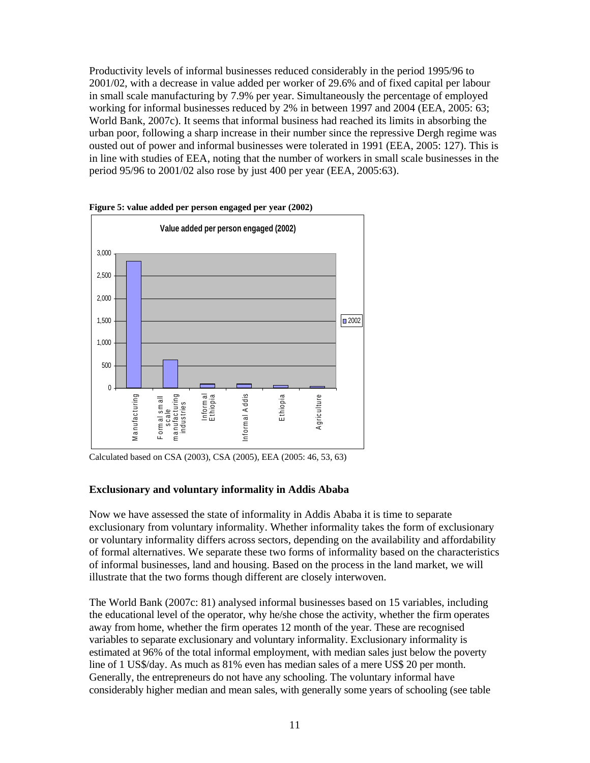Productivity levels of informal businesses reduced considerably in the period 1995/96 to 2001/02, with a decrease in value added per worker of 29.6% and of fixed capital per labour in small scale manufacturing by 7.9% per year. Simultaneously the percentage of employed working for informal businesses reduced by 2% in between 1997 and 2004 (EEA, 2005: 63; World Bank, 2007c). It seems that informal business had reached its limits in absorbing the urban poor, following a sharp increase in their number since the repressive Dergh regime was ousted out of power and informal businesses were tolerated in 1991 (EEA, 2005: 127). This is in line with studies of EEA, noting that the number of workers in small scale businesses in the period 95/96 to 2001/02 also rose by just 400 per year (EEA, 2005:63).



**Figure 5: value added per person engaged per year (2002)** 

### **Exclusionary and voluntary informality in Addis Ababa**

Now we have assessed the state of informality in Addis Ababa it is time to separate exclusionary from voluntary informality. Whether informality takes the form of exclusionary or voluntary informality differs across sectors, depending on the availability and affordability of formal alternatives. We separate these two forms of informality based on the characteristics of informal businesses, land and housing. Based on the process in the land market, we will illustrate that the two forms though different are closely interwoven.

The World Bank (2007c: 81) analysed informal businesses based on 15 variables, including the educational level of the operator, why he/she chose the activity, whether the firm operates away from home, whether the firm operates 12 month of the year. These are recognised variables to separate exclusionary and voluntary informality. Exclusionary informality is estimated at 96% of the total informal employment, with median sales just below the poverty line of 1 US\$/day. As much as 81% even has median sales of a mere US\$ 20 per month. Generally, the entrepreneurs do not have any schooling. The voluntary informal have considerably higher median and mean sales, with generally some years of schooling (see table

Calculated based on CSA (2003), CSA (2005), EEA (2005: 46, 53, 63)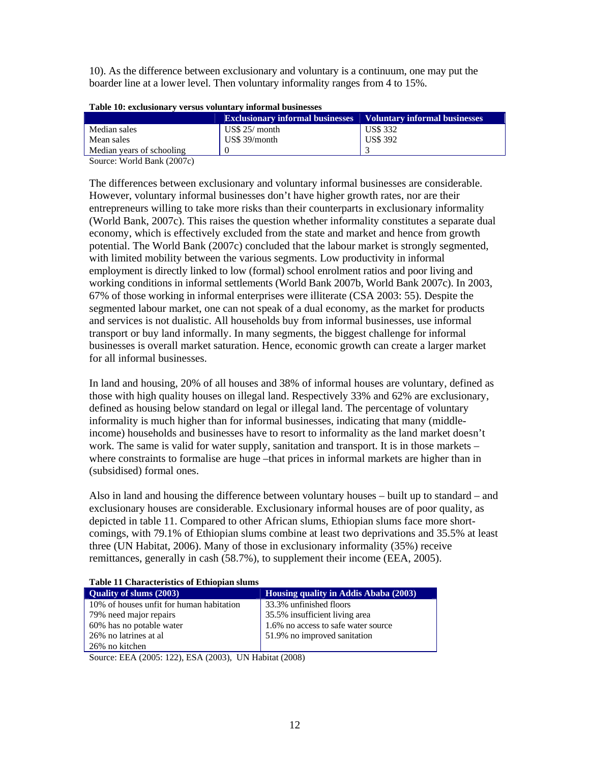10). As the difference between exclusionary and voluntary is a continuum, one may put the boarder line at a lower level. Then voluntary informality ranges from 4 to 15%.

| Table 10: exclusionary versus voluntary informal businesses |  |  |
|-------------------------------------------------------------|--|--|
|                                                             |  |  |

|                                                          | <b>Exclusionary informal businesses</b> Voluntary informal businesses |                 |
|----------------------------------------------------------|-----------------------------------------------------------------------|-----------------|
| Median sales                                             | $\text{USS } 25/\text{month}$                                         | <b>US\$</b> 332 |
| Mean sales                                               | $US\$ 39/month                                                        | <b>US\$ 392</b> |
| Median vears of schooling                                |                                                                       |                 |
| $\alpha$ $\mathbf{W}$ $\mathbf{1}$ $\mathbf{1}$ $\alpha$ |                                                                       |                 |

Source: World Bank (2007c)

The differences between exclusionary and voluntary informal businesses are considerable. However, voluntary informal businesses don't have higher growth rates, nor are their entrepreneurs willing to take more risks than their counterparts in exclusionary informality (World Bank, 2007c). This raises the question whether informality constitutes a separate dual economy, which is effectively excluded from the state and market and hence from growth potential. The World Bank (2007c) concluded that the labour market is strongly segmented, with limited mobility between the various segments. Low productivity in informal employment is directly linked to low (formal) school enrolment ratios and poor living and working conditions in informal settlements (World Bank 2007b, World Bank 2007c). In 2003, 67% of those working in informal enterprises were illiterate (CSA 2003: 55). Despite the segmented labour market, one can not speak of a dual economy, as the market for products and services is not dualistic. All households buy from informal businesses, use informal transport or buy land informally. In many segments, the biggest challenge for informal businesses is overall market saturation. Hence, economic growth can create a larger market for all informal businesses.

In land and housing, 20% of all houses and 38% of informal houses are voluntary, defined as those with high quality houses on illegal land. Respectively 33% and 62% are exclusionary, defined as housing below standard on legal or illegal land. The percentage of voluntary informality is much higher than for informal businesses, indicating that many (middleincome) households and businesses have to resort to informality as the land market doesn't work. The same is valid for water supply, sanitation and transport. It is in those markets – where constraints to formalise are huge –that prices in informal markets are higher than in (subsidised) formal ones.

Also in land and housing the difference between voluntary houses – built up to standard – and exclusionary houses are considerable. Exclusionary informal houses are of poor quality, as depicted in table 11. Compared to other African slums, Ethiopian slums face more shortcomings, with 79.1% of Ethiopian slums combine at least two deprivations and 35.5% at least three (UN Habitat, 2006). Many of those in exclusionary informality (35%) receive remittances, generally in cash (58.7%), to supplement their income (EEA, 2005).

#### **Table 11 Characteristics of Ethiopian slums**

| <b>Ouality of slums (2003)</b>           | Housing quality in Addis Ababa (2003) |  |
|------------------------------------------|---------------------------------------|--|
| 10% of houses unfit for human habitation | 33.3% unfinished floors               |  |
| 79% need major repairs                   | 35.5% insufficient living area        |  |
| 60% has no potable water                 | 1.6% no access to safe water source   |  |
| 26% no latrines at al                    | 51.9% no improved sanitation          |  |
| 26% no kitchen                           |                                       |  |

Source: EEA (2005: 122), ESA (2003), UN Habitat (2008)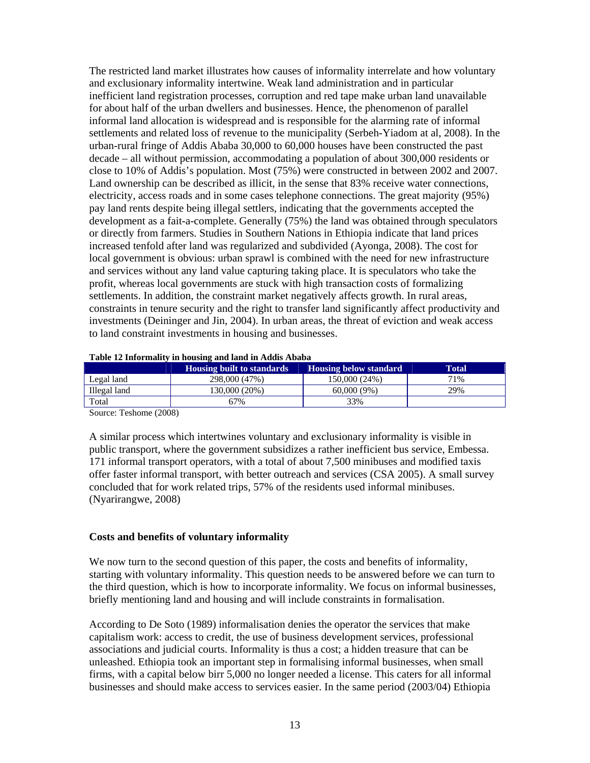The restricted land market illustrates how causes of informality interrelate and how voluntary and exclusionary informality intertwine. Weak land administration and in particular inefficient land registration processes, corruption and red tape make urban land unavailable for about half of the urban dwellers and businesses. Hence, the phenomenon of parallel informal land allocation is widespread and is responsible for the alarming rate of informal settlements and related loss of revenue to the municipality (Serbeh-Yiadom at al, 2008). In the urban-rural fringe of Addis Ababa 30,000 to 60,000 houses have been constructed the past decade – all without permission, accommodating a population of about 300,000 residents or close to 10% of Addis's population. Most (75%) were constructed in between 2002 and 2007. Land ownership can be described as illicit, in the sense that 83% receive water connections, electricity, access roads and in some cases telephone connections. The great majority (95%) pay land rents despite being illegal settlers, indicating that the governments accepted the development as a fait-a-complete. Generally (75%) the land was obtained through speculators or directly from farmers. Studies in Southern Nations in Ethiopia indicate that land prices increased tenfold after land was regularized and subdivided (Ayonga, 2008). The cost for local government is obvious: urban sprawl is combined with the need for new infrastructure and services without any land value capturing taking place. It is speculators who take the profit, whereas local governments are stuck with high transaction costs of formalizing settlements. In addition, the constraint market negatively affects growth. In rural areas, constraints in tenure security and the right to transfer land significantly affect productivity and investments (Deininger and Jin, 2004). In urban areas, the threat of eviction and weak access to land constraint investments in housing and businesses.

|              | <b>Housing built to standards</b> | <b>Housing below standard</b> | Total |
|--------------|-----------------------------------|-------------------------------|-------|
| Legal land   | 298,000 (47%)                     | 150,000 (24%)                 | 71%   |
| Illegal land | 130.000 (20%)                     | $60,000(9\%)$                 | 29%   |
| Total        | 67%                               | 33%                           |       |

#### **Table 12 Informality in housing and land in Addis Ababa**

Source: Teshome (2008)

A similar process which intertwines voluntary and exclusionary informality is visible in public transport, where the government subsidizes a rather inefficient bus service, Embessa. 171 informal transport operators, with a total of about 7,500 minibuses and modified taxis offer faster informal transport, with better outreach and services (CSA 2005). A small survey concluded that for work related trips, 57% of the residents used informal minibuses. (Nyarirangwe, 2008)

#### **Costs and benefits of voluntary informality**

We now turn to the second question of this paper, the costs and benefits of informality, starting with voluntary informality. This question needs to be answered before we can turn to the third question, which is how to incorporate informality. We focus on informal businesses, briefly mentioning land and housing and will include constraints in formalisation.

According to De Soto (1989) informalisation denies the operator the services that make capitalism work: access to credit, the use of business development services, professional associations and judicial courts. Informality is thus a cost; a hidden treasure that can be unleashed. Ethiopia took an important step in formalising informal businesses, when small firms, with a capital below birr 5,000 no longer needed a license. This caters for all informal businesses and should make access to services easier. In the same period (2003/04) Ethiopia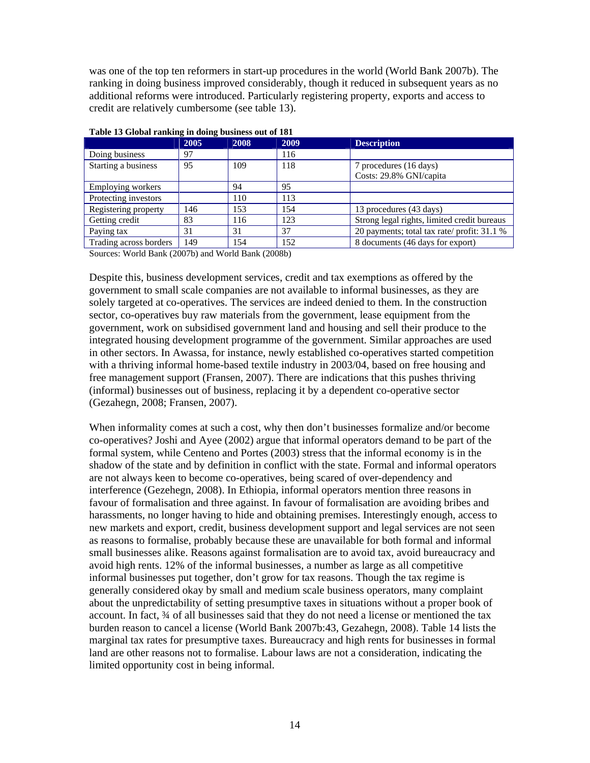was one of the top ten reformers in start-up procedures in the world (World Bank 2007b). The ranking in doing business improved considerably, though it reduced in subsequent years as no additional reforms were introduced. Particularly registering property, exports and access to credit are relatively cumbersome (see table 13).

|                        | 2005 | 2008 | 2009 | <b>Description</b>                          |
|------------------------|------|------|------|---------------------------------------------|
| Doing business         | 97   |      | 116  |                                             |
| Starting a business    | 95   | 109  | 118  | 7 procedures (16 days)                      |
|                        |      |      |      | Costs: 29.8% GNI/capita                     |
| Employing workers      |      | 94   | 95   |                                             |
| Protecting investors   |      | 110  | 113  |                                             |
| Registering property   | 146  | 153  | 154  | 13 procedures (43 days)                     |
| Getting credit         | 83   | 116  | 123  | Strong legal rights, limited credit bureaus |
| Paying tax             | 31   | 31   | 37   | 20 payments; total tax rate/ profit: 31.1 % |
| Trading across borders | 149  | 154  | 152  | 8 documents (46 days for export)            |

|  | Table 13 Global ranking in doing business out of 181 |  |  |
|--|------------------------------------------------------|--|--|
|  |                                                      |  |  |

Sources: World Bank (2007b) and World Bank (2008b)

Despite this, business development services, credit and tax exemptions as offered by the government to small scale companies are not available to informal businesses, as they are solely targeted at co-operatives. The services are indeed denied to them. In the construction sector, co-operatives buy raw materials from the government, lease equipment from the government, work on subsidised government land and housing and sell their produce to the integrated housing development programme of the government. Similar approaches are used in other sectors. In Awassa, for instance, newly established co-operatives started competition with a thriving informal home-based textile industry in 2003/04, based on free housing and free management support (Fransen, 2007). There are indications that this pushes thriving (informal) businesses out of business, replacing it by a dependent co-operative sector (Gezahegn, 2008; Fransen, 2007).

When informality comes at such a cost, why then don't businesses formalize and/or become co-operatives? Joshi and Ayee (2002) argue that informal operators demand to be part of the formal system, while Centeno and Portes (2003) stress that the informal economy is in the shadow of the state and by definition in conflict with the state. Formal and informal operators are not always keen to become co-operatives, being scared of over-dependency and interference (Gezehegn, 2008). In Ethiopia, informal operators mention three reasons in favour of formalisation and three against. In favour of formalisation are avoiding bribes and harassments, no longer having to hide and obtaining premises. Interestingly enough, access to new markets and export, credit, business development support and legal services are not seen as reasons to formalise, probably because these are unavailable for both formal and informal small businesses alike. Reasons against formalisation are to avoid tax, avoid bureaucracy and avoid high rents. 12% of the informal businesses, a number as large as all competitive informal businesses put together, don't grow for tax reasons. Though the tax regime is generally considered okay by small and medium scale business operators, many complaint about the unpredictability of setting presumptive taxes in situations without a proper book of account. In fact, ¾ of all businesses said that they do not need a license or mentioned the tax burden reason to cancel a license (World Bank 2007b:43, Gezahegn, 2008). Table 14 lists the marginal tax rates for presumptive taxes. Bureaucracy and high rents for businesses in formal land are other reasons not to formalise. Labour laws are not a consideration, indicating the limited opportunity cost in being informal.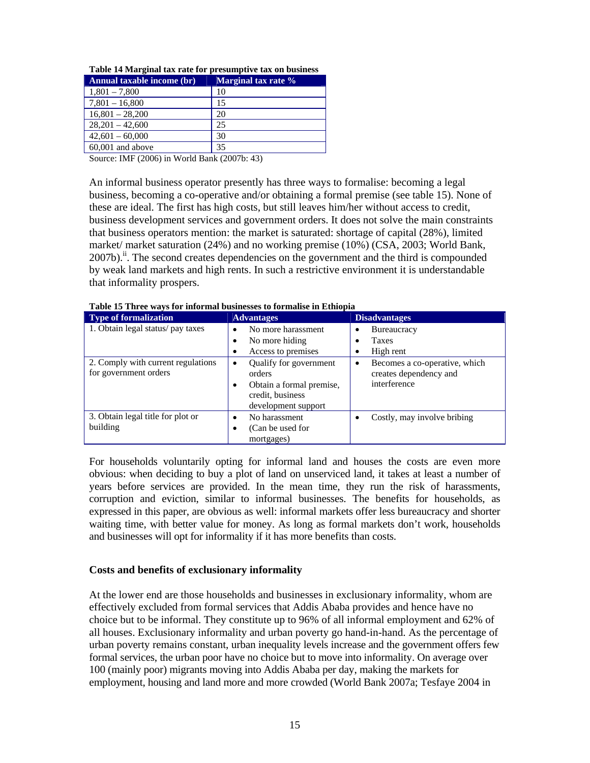| Annual taxable income (br) | Marginal tax rate % |
|----------------------------|---------------------|
| $1,801 - 7,800$            | 10                  |
| $7,801 - 16,800$           | 15                  |
| $16,801 - 28,200$          | 20                  |
| $28,201 - 42,600$          | 25                  |
| $42,601 - 60,000$          | 30                  |
| $60,001$ and above         | 35                  |

**Table 14 Marginal tax rate for presumptive tax on business**

Source: IMF (2006) in World Bank (2007b: 43)

An informal business operator presently has three ways to formalise: becoming a legal business, becoming a co-operative and/or obtaining a formal premise (see table 15). None of these are ideal. The first has high costs, but still leaves him/her without access to credit, business development services and government orders. It does not solve the main constraints that business operators mention: the market is saturated: shortage of capital (28%), limited market/ market saturation (24%) and no working premise (10%) (CSA, 2003; World Bank,  $2007b$ .<sup>ii</sup>. The second creates dependencies on the government and the third is compounded by weak land markets and high rents. In such a restrictive environment it is understandable that informality prospers.

| Type of formalization                                       | <b>Advantages</b>                                                                                                 | <b>Disadvantages</b>                                                                 |  |  |  |  |
|-------------------------------------------------------------|-------------------------------------------------------------------------------------------------------------------|--------------------------------------------------------------------------------------|--|--|--|--|
| 1. Obtain legal status/pay taxes                            | No more harassment<br>$\bullet$<br>No more hiding<br>٠<br>Access to premises<br>٠                                 | <b>Bureaucracy</b><br><b>Taxes</b><br>High rent<br>٠                                 |  |  |  |  |
| 2. Comply with current regulations<br>for government orders | Qualify for government<br>٠<br>orders<br>Obtain a formal premise,<br>٠<br>credit, business<br>development support | Becomes a co-operative, which<br>$\bullet$<br>creates dependency and<br>interference |  |  |  |  |
| 3. Obtain legal title for plot or<br>building               | No harassment<br>٠<br>(Can be used for<br>٠<br>mortgages)                                                         | Costly, may involve bribing                                                          |  |  |  |  |

**Table 15 Three ways for informal businesses to formalise in Ethiopia** 

For households voluntarily opting for informal land and houses the costs are even more obvious: when deciding to buy a plot of land on unserviced land, it takes at least a number of years before services are provided. In the mean time, they run the risk of harassments, corruption and eviction, similar to informal businesses. The benefits for households, as expressed in this paper, are obvious as well: informal markets offer less bureaucracy and shorter waiting time, with better value for money. As long as formal markets don't work, households and businesses will opt for informality if it has more benefits than costs.

### **Costs and benefits of exclusionary informality**

At the lower end are those households and businesses in exclusionary informality, whom are effectively excluded from formal services that Addis Ababa provides and hence have no choice but to be informal. They constitute up to 96% of all informal employment and 62% of all houses. Exclusionary informality and urban poverty go hand-in-hand. As the percentage of urban poverty remains constant, urban inequality levels increase and the government offers few formal services, the urban poor have no choice but to move into informality. On average over 100 (mainly poor) migrants moving into Addis Ababa per day, making the markets for employment, housing and land more and more crowded (World Bank 2007a; Tesfaye 2004 in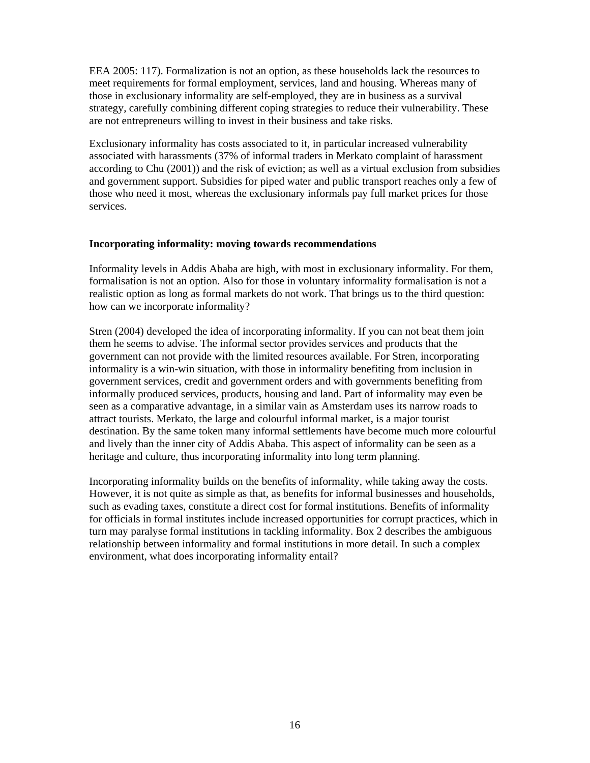EEA 2005: 117). Formalization is not an option, as these households lack the resources to meet requirements for formal employment, services, land and housing. Whereas many of those in exclusionary informality are self-employed, they are in business as a survival strategy, carefully combining different coping strategies to reduce their vulnerability. These are not entrepreneurs willing to invest in their business and take risks.

Exclusionary informality has costs associated to it, in particular increased vulnerability associated with harassments (37% of informal traders in Merkato complaint of harassment according to Chu (2001)) and the risk of eviction; as well as a virtual exclusion from subsidies and government support. Subsidies for piped water and public transport reaches only a few of those who need it most, whereas the exclusionary informals pay full market prices for those services.

### **Incorporating informality: moving towards recommendations**

Informality levels in Addis Ababa are high, with most in exclusionary informality. For them, formalisation is not an option. Also for those in voluntary informality formalisation is not a realistic option as long as formal markets do not work. That brings us to the third question: how can we incorporate informality?

Stren (2004) developed the idea of incorporating informality. If you can not beat them join them he seems to advise. The informal sector provides services and products that the government can not provide with the limited resources available. For Stren, incorporating informality is a win-win situation, with those in informality benefiting from inclusion in government services, credit and government orders and with governments benefiting from informally produced services, products, housing and land. Part of informality may even be seen as a comparative advantage, in a similar vain as Amsterdam uses its narrow roads to attract tourists. Merkato, the large and colourful informal market, is a major tourist destination. By the same token many informal settlements have become much more colourful and lively than the inner city of Addis Ababa. This aspect of informality can be seen as a heritage and culture, thus incorporating informality into long term planning.

Incorporating informality builds on the benefits of informality, while taking away the costs. However, it is not quite as simple as that, as benefits for informal businesses and households, such as evading taxes, constitute a direct cost for formal institutions. Benefits of informality for officials in formal institutes include increased opportunities for corrupt practices, which in turn may paralyse formal institutions in tackling informality. Box 2 describes the ambiguous relationship between informality and formal institutions in more detail. In such a complex environment, what does incorporating informality entail?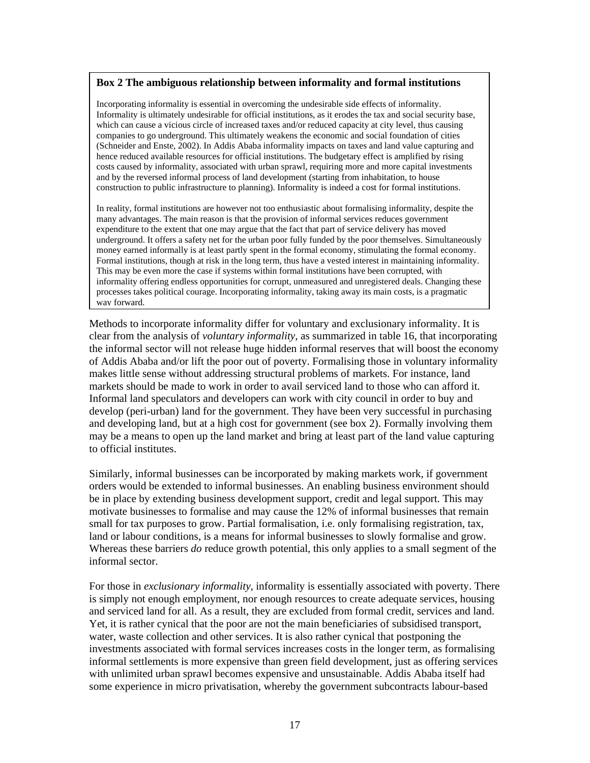### **Box 2 The ambiguous relationship between informality and formal institutions**

Incorporating informality is essential in overcoming the undesirable side effects of informality. Informality is ultimately undesirable for official institutions, as it erodes the tax and social security base, which can cause a vicious circle of increased taxes and/or reduced capacity at city level, thus causing companies to go underground. This ultimately weakens the economic and social foundation of cities (Schneider and Enste, 2002). In Addis Ababa informality impacts on taxes and land value capturing and hence reduced available resources for official institutions. The budgetary effect is amplified by rising costs caused by informality, associated with urban sprawl, requiring more and more capital investments and by the reversed informal process of land development (starting from inhabitation, to house construction to public infrastructure to planning). Informality is indeed a cost for formal institutions.

In reality, formal institutions are however not too enthusiastic about formalising informality, despite the many advantages. The main reason is that the provision of informal services reduces government expenditure to the extent that one may argue that the fact that part of service delivery has moved underground. It offers a safety net for the urban poor fully funded by the poor themselves. Simultaneously money earned informally is at least partly spent in the formal economy, stimulating the formal economy. Formal institutions, though at risk in the long term, thus have a vested interest in maintaining informality. This may be even more the case if systems within formal institutions have been corrupted, with informality offering endless opportunities for corrupt, unmeasured and unregistered deals. Changing these processes takes political courage. Incorporating informality, taking away its main costs, is a pragmatic way forward.

Methods to incorporate informality differ for voluntary and exclusionary informality. It is clear from the analysis of *voluntary informality*, as summarized in table 16, that incorporating the informal sector will not release huge hidden informal reserves that will boost the economy of Addis Ababa and/or lift the poor out of poverty. Formalising those in voluntary informality makes little sense without addressing structural problems of markets. For instance, land markets should be made to work in order to avail serviced land to those who can afford it. Informal land speculators and developers can work with city council in order to buy and develop (peri-urban) land for the government. They have been very successful in purchasing and developing land, but at a high cost for government (see box 2). Formally involving them may be a means to open up the land market and bring at least part of the land value capturing to official institutes.

Similarly, informal businesses can be incorporated by making markets work, if government orders would be extended to informal businesses. An enabling business environment should be in place by extending business development support, credit and legal support. This may motivate businesses to formalise and may cause the 12% of informal businesses that remain small for tax purposes to grow. Partial formalisation, i.e. only formalising registration, tax, land or labour conditions, is a means for informal businesses to slowly formalise and grow. Whereas these barriers *do* reduce growth potential, this only applies to a small segment of the informal sector.

For those in *exclusionary informality*, informality is essentially associated with poverty. There is simply not enough employment, nor enough resources to create adequate services, housing and serviced land for all. As a result, they are excluded from formal credit, services and land. Yet, it is rather cynical that the poor are not the main beneficiaries of subsidised transport, water, waste collection and other services. It is also rather cynical that postponing the investments associated with formal services increases costs in the longer term, as formalising informal settlements is more expensive than green field development, just as offering services with unlimited urban sprawl becomes expensive and unsustainable. Addis Ababa itself had some experience in micro privatisation, whereby the government subcontracts labour-based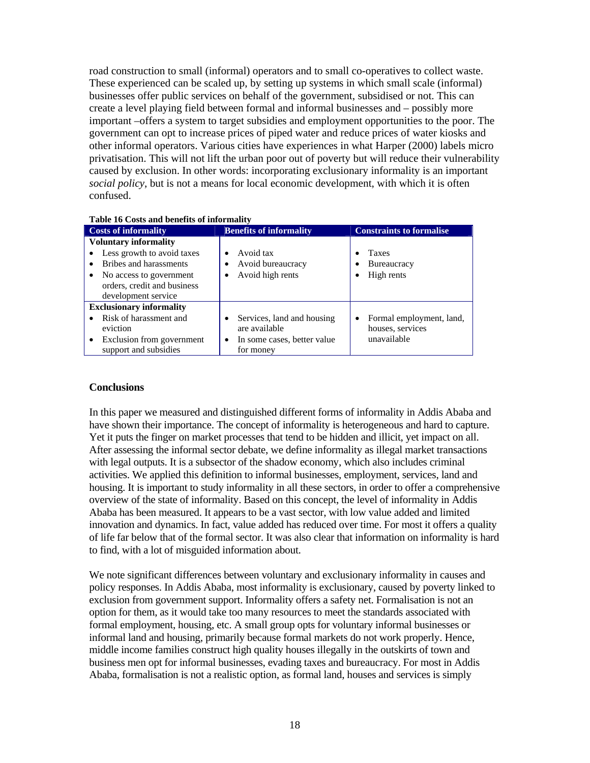road construction to small (informal) operators and to small co-operatives to collect waste. These experienced can be scaled up, by setting up systems in which small scale (informal) businesses offer public services on behalf of the government, subsidised or not. This can create a level playing field between formal and informal businesses and – possibly more important –offers a system to target subsidies and employment opportunities to the poor. The government can opt to increase prices of piped water and reduce prices of water kiosks and other informal operators. Various cities have experiences in what Harper (2000) labels micro privatisation. This will not lift the urban poor out of poverty but will reduce their vulnerability caused by exclusion. In other words: incorporating exclusionary informality is an important *social policy*, but is not a means for local economic development, with which it is often confused.

| Table to Costs and benefits of informative                                                                                                                            |                                                                                                   |                                                                  |  |  |  |
|-----------------------------------------------------------------------------------------------------------------------------------------------------------------------|---------------------------------------------------------------------------------------------------|------------------------------------------------------------------|--|--|--|
| <b>Costs of informality</b>                                                                                                                                           | <b>Benefits of informality</b>                                                                    | <b>Constraints to formalise</b>                                  |  |  |  |
| <b>Voluntary informality</b><br>Less growth to avoid taxes<br>Bribes and harassments<br>No access to government<br>orders, credit and business<br>development service | Avoid tax<br>Avoid bureaucracy<br>Avoid high rents                                                | <b>Taxes</b><br><b>Bureaucracy</b><br>High rents                 |  |  |  |
| <b>Exclusionary informality</b>                                                                                                                                       |                                                                                                   |                                                                  |  |  |  |
| Risk of harassment and<br>eviction<br>Exclusion from government<br>support and subsidies                                                                              | Services, land and housing<br>٠<br>are available<br>In some cases, better value<br>٠<br>for money | Formal employment, land,<br>٠<br>houses, services<br>unavailable |  |  |  |

# **Table 16 Costs and benefits of informality**

### **Conclusions**

In this paper we measured and distinguished different forms of informality in Addis Ababa and have shown their importance. The concept of informality is heterogeneous and hard to capture. Yet it puts the finger on market processes that tend to be hidden and illicit, yet impact on all. After assessing the informal sector debate, we define informality as illegal market transactions with legal outputs. It is a subsector of the shadow economy, which also includes criminal activities. We applied this definition to informal businesses, employment, services, land and housing. It is important to study informality in all these sectors, in order to offer a comprehensive overview of the state of informality. Based on this concept, the level of informality in Addis Ababa has been measured. It appears to be a vast sector, with low value added and limited innovation and dynamics. In fact, value added has reduced over time. For most it offers a quality of life far below that of the formal sector. It was also clear that information on informality is hard to find, with a lot of misguided information about.

We note significant differences between voluntary and exclusionary informality in causes and policy responses. In Addis Ababa, most informality is exclusionary, caused by poverty linked to exclusion from government support. Informality offers a safety net. Formalisation is not an option for them, as it would take too many resources to meet the standards associated with formal employment, housing, etc. A small group opts for voluntary informal businesses or informal land and housing, primarily because formal markets do not work properly. Hence, middle income families construct high quality houses illegally in the outskirts of town and business men opt for informal businesses, evading taxes and bureaucracy. For most in Addis Ababa, formalisation is not a realistic option, as formal land, houses and services is simply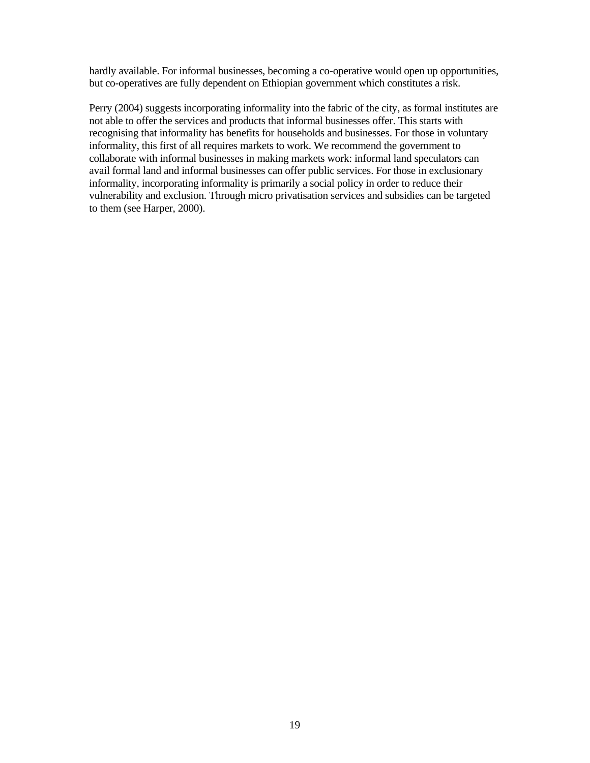hardly available. For informal businesses, becoming a co-operative would open up opportunities, but co-operatives are fully dependent on Ethiopian government which constitutes a risk.

Perry (2004) suggests incorporating informality into the fabric of the city, as formal institutes are not able to offer the services and products that informal businesses offer. This starts with recognising that informality has benefits for households and businesses. For those in voluntary informality, this first of all requires markets to work. We recommend the government to collaborate with informal businesses in making markets work: informal land speculators can avail formal land and informal businesses can offer public services. For those in exclusionary informality, incorporating informality is primarily a social policy in order to reduce their vulnerability and exclusion. Through micro privatisation services and subsidies can be targeted to them (see Harper, 2000).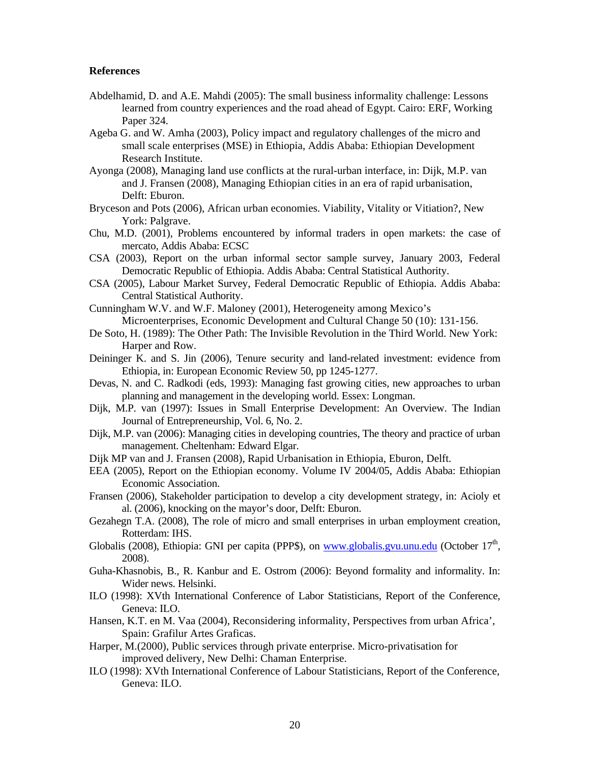#### **References**

- Abdelhamid, D. and A.E. Mahdi (2005): The small business informality challenge: Lessons learned from country experiences and the road ahead of Egypt. Cairo: ERF, Working Paper 324.
- Ageba G. and W. Amha (2003), Policy impact and regulatory challenges of the micro and small scale enterprises (MSE) in Ethiopia, Addis Ababa: Ethiopian Development Research Institute.
- Ayonga (2008), Managing land use conflicts at the rural-urban interface, in: Dijk, M.P. van and J. Fransen (2008), Managing Ethiopian cities in an era of rapid urbanisation, Delft: Eburon.
- Bryceson and Pots (2006), African urban economies. Viability, Vitality or Vitiation?, New York: Palgrave.
- Chu, M.D. (2001), Problems encountered by informal traders in open markets: the case of mercato, Addis Ababa: ECSC
- CSA (2003), Report on the urban informal sector sample survey, January 2003, Federal Democratic Republic of Ethiopia. Addis Ababa: Central Statistical Authority.
- CSA (2005), Labour Market Survey, Federal Democratic Republic of Ethiopia. Addis Ababa: Central Statistical Authority.
- Cunningham W.V. and W.F. Maloney (2001), Heterogeneity among Mexico's Microenterprises, Economic Development and Cultural Change 50 (10): 131-156.
- De Soto, H. (1989): The Other Path: The Invisible Revolution in the Third World. New York: Harper and Row.
- Deininger K. and S. Jin (2006), Tenure security and land-related investment: evidence from Ethiopia, in: European Economic Review 50, pp 1245-1277.
- Devas, N. and C. Radkodi (eds, 1993): Managing fast growing cities, new approaches to urban planning and management in the developing world. Essex: Longman.
- Dijk, M.P. van (1997): Issues in Small Enterprise Development: An Overview. The Indian Journal of Entrepreneurship, Vol. 6, No. 2.
- Dijk, M.P. van (2006): Managing cities in developing countries, The theory and practice of urban management. Cheltenham: Edward Elgar.
- Dijk MP van and J. Fransen (2008), Rapid Urbanisation in Ethiopia, Eburon, Delft.
- EEA (2005), Report on the Ethiopian economy. Volume IV 2004/05, Addis Ababa: Ethiopian Economic Association.
- Fransen (2006), Stakeholder participation to develop a city development strategy, in: Acioly et al. (2006), knocking on the mayor's door, Delft: Eburon.
- Gezahegn T.A. (2008), The role of micro and small enterprises in urban employment creation, Rotterdam: IHS.
- Globalis (2008), Ethiopia: GNI per capita (PPP\$), on www.globalis.gvu.unu.edu (October  $17<sup>th</sup>$ , 2008).
- Guha-Khasnobis, B., R. Kanbur and E. Ostrom (2006): Beyond formality and informality. In: Wider news. Helsinki.
- ILO (1998): XVth International Conference of Labor Statisticians, Report of the Conference, Geneva: ILO.
- Hansen, K.T. en M. Vaa (2004), Reconsidering informality, Perspectives from urban Africa', Spain: Grafilur Artes Graficas.
- Harper, M.(2000), Public services through private enterprise. Micro-privatisation for improved delivery, New Delhi: Chaman Enterprise.
- ILO (1998): XVth International Conference of Labour Statisticians, Report of the Conference, Geneva: ILO.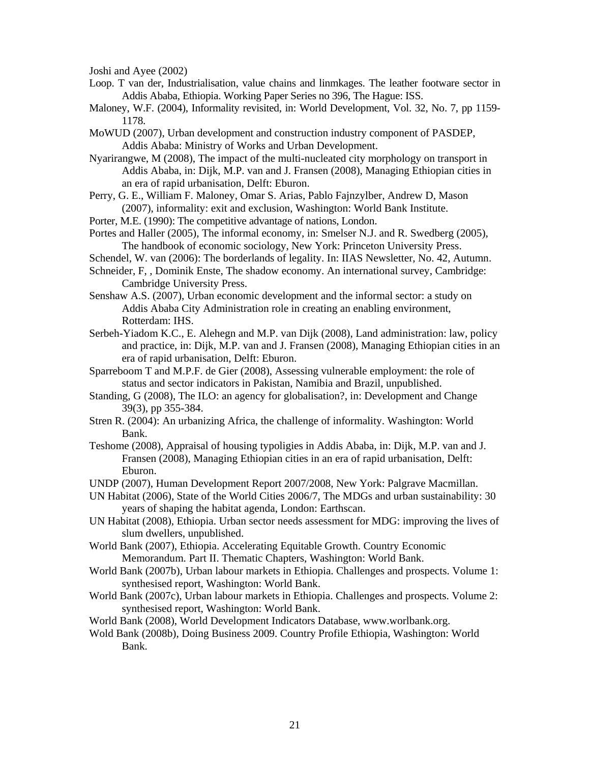Joshi and Ayee (2002)

- Loop. T van der, Industrialisation, value chains and linmkages. The leather footware sector in Addis Ababa, Ethiopia. Working Paper Series no 396, The Hague: ISS.
- Maloney, W.F. (2004), Informality revisited, in: World Development, Vol. 32, No. 7, pp 1159- 1178.
- MoWUD (2007), Urban development and construction industry component of PASDEP, Addis Ababa: Ministry of Works and Urban Development.
- Nyarirangwe, M (2008), The impact of the multi-nucleated city morphology on transport in Addis Ababa, in: Dijk, M.P. van and J. Fransen (2008), Managing Ethiopian cities in an era of rapid urbanisation, Delft: Eburon.
- Perry, G. E., William F. Maloney, Omar S. Arias, Pablo Fajnzylber, Andrew D, Mason (2007), informality: exit and exclusion, Washington: World Bank Institute.
- Porter, M.E. (1990): The competitive advantage of nations, London.
- Portes and Haller (2005), The informal economy, in: Smelser N.J. and R. Swedberg (2005), The handbook of economic sociology, New York: Princeton University Press.
- Schendel, W. van (2006): The borderlands of legality. In: IIAS Newsletter, No. 42, Autumn.
- Schneider, F, , Dominik Enste, The shadow economy. An international survey, Cambridge: Cambridge University Press.
- Senshaw A.S. (2007), Urban economic development and the informal sector: a study on Addis Ababa City Administration role in creating an enabling environment, Rotterdam: IHS.
- Serbeh-Yiadom K.C., E. Alehegn and M.P. van Dijk (2008), Land administration: law, policy and practice, in: Dijk, M.P. van and J. Fransen (2008), Managing Ethiopian cities in an era of rapid urbanisation, Delft: Eburon.
- Sparreboom T and M.P.F. de Gier (2008), Assessing vulnerable employment: the role of status and sector indicators in Pakistan, Namibia and Brazil, unpublished.
- Standing, G (2008), The ILO: an agency for globalisation?, in: Development and Change 39(3), pp 355-384.
- Stren R. (2004): An urbanizing Africa, the challenge of informality. Washington: World Bank.
- Teshome (2008), Appraisal of housing typoligies in Addis Ababa, in: Dijk, M.P. van and J. Fransen (2008), Managing Ethiopian cities in an era of rapid urbanisation, Delft: Eburon.
- UNDP (2007), Human Development Report 2007/2008, New York: Palgrave Macmillan.
- UN Habitat (2006), State of the World Cities 2006/7, The MDGs and urban sustainability: 30 years of shaping the habitat agenda, London: Earthscan.
- UN Habitat (2008), Ethiopia. Urban sector needs assessment for MDG: improving the lives of slum dwellers, unpublished.
- World Bank (2007), Ethiopia. Accelerating Equitable Growth. Country Economic Memorandum. Part II. Thematic Chapters, Washington: World Bank.
- World Bank (2007b), Urban labour markets in Ethiopia. Challenges and prospects. Volume 1: synthesised report, Washington: World Bank.
- World Bank (2007c), Urban labour markets in Ethiopia. Challenges and prospects. Volume 2: synthesised report, Washington: World Bank.
- World Bank (2008), World Development Indicators Database, www.worlbank.org.
- Wold Bank (2008b), Doing Business 2009. Country Profile Ethiopia, Washington: World Bank.